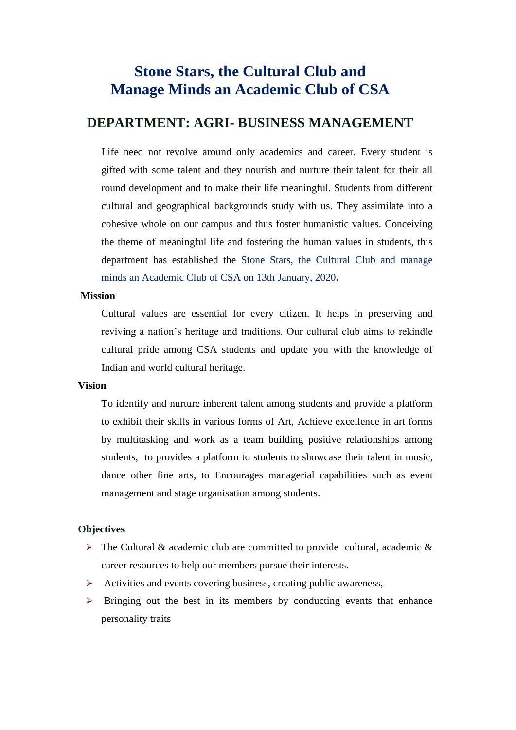## **Stone Stars, the Cultural Club and Manage Minds an Academic Club of CSA**

## **DEPARTMENT: AGRI- BUSINESS MANAGEMENT**

 Life need not revolve around only academics and career. Every student is gifted with some talent and they nourish and nurture their talent for their all round development and to make their life meaningful. Students from different cultural and geographical backgrounds study with us. They assimilate into a cohesive whole on our campus and thus foster humanistic values. Conceiving the theme of meaningful life and fostering the human values in students, this department has established the Stone Stars, the Cultural Club and manage minds an Academic Club of CSA on 13th January, 2020**.**

#### **Mission**

Cultural values are essential for every citizen. It helps in preserving and reviving a nation's heritage and traditions. Our cultural club aims to rekindle cultural pride among CSA students and update you with the knowledge of Indian and world cultural heritage.

### **Vision**

To identify and nurture inherent talent among students and provide a platform to exhibit their skills in various forms of Art, Achieve excellence in art forms by multitasking and work as a team building positive relationships among students, to provides a platform to students to showcase their talent in music, dance other fine arts, to Encourages managerial capabilities such as event management and stage organisation among students.

## **Objectives**

- $\triangleright$  The Cultural & academic club are committed to provide cultural, academic & career resources to help our members pursue their interests.
- $\triangleright$  Activities and events covering business, creating public awareness,
- $\triangleright$  Bringing out the best in its members by conducting events that enhance personality traits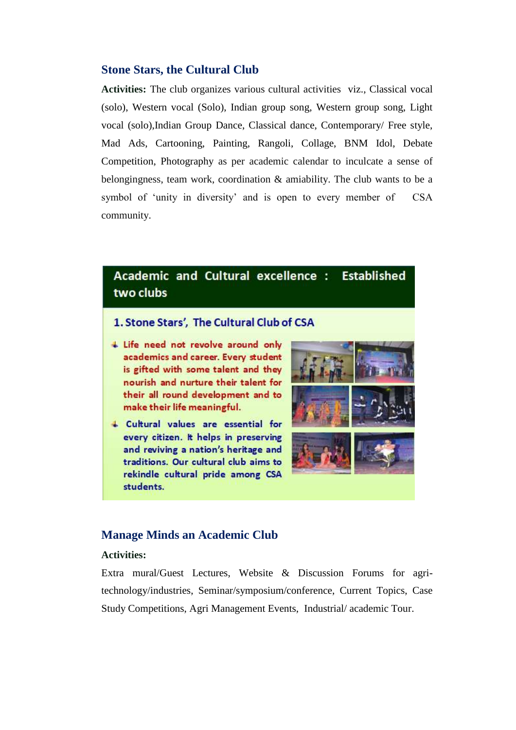## **Stone Stars, the Cultural Club**

**Activities:** The club organizes various cultural activities viz., Classical vocal (solo), Western vocal (Solo), Indian group song, Western group song, Light vocal (solo),Indian Group Dance, Classical dance, Contemporary/ Free style, Mad Ads, Cartooning, Painting, Rangoli, Collage, BNM Idol, Debate Competition, Photography as per academic calendar to inculcate a sense of belongingness, team work, coordination & amiability. The club wants to be a symbol of 'unity in diversity' and is open to every member of CSA community.

#### Academic and Cultural excellence : **Established** two clubs

## 1. Stone Stars', The Cultural Club of CSA

- + Life need not revolve around only academics and career. Every student is gifted with some talent and they nourish and nurture their talent for their all round development and to make their life meaningful.
- 4 Cultural values are essential for every citizen. It helps in preserving and reviving a nation's heritage and traditions. Our cultural club aims to rekindle cultural pride among CSA students.



### **Manage Minds an Academic Club**

### **Activities:**

Extra mural/Guest Lectures, Website & Discussion Forums for agritechnology/industries, Seminar/symposium/conference, Current Topics, Case Study Competitions, Agri Management Events, Industrial/ academic Tour.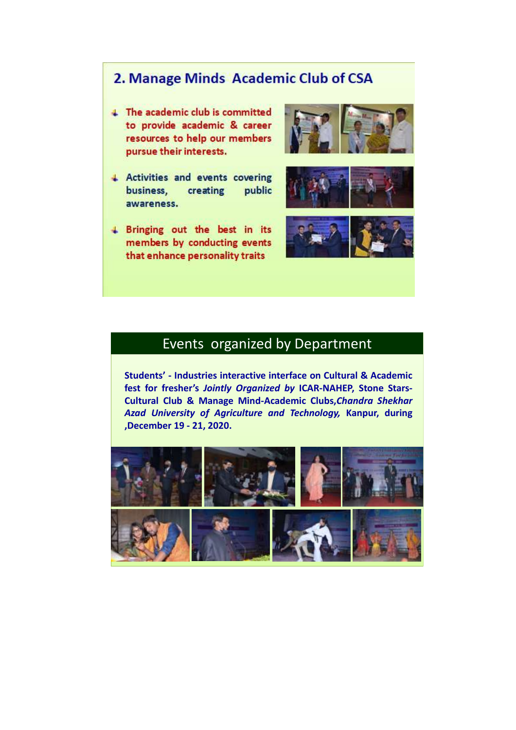# 2. Manage Minds Academic Club of CSA

- 4 The academic club is committed to provide academic & career resources to help our members pursue their interests.
- + Activities and events covering business, creating public awareness.
- + Bringing out the best in its members by conducting events that enhance personality traits







## Events organized by Department

**Students' - Industries interactive interface on Cultural & Academic fest for fresher's** *Jointly Organized by* **ICAR-NAHEP, Stone Stars-Cultural Club & Manage Mind-Academic Clubs,***Chandra Shekhar Azad University of Agriculture and Technology,* **Kanpur, during ,December 19 - 21, 2020.**